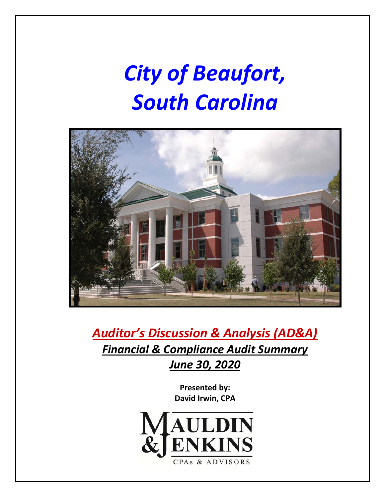# *City of Beaufort, South Carolina*



*Auditor's Discussion & Analysis (AD&A) Financial & Compliance Audit Summary June 30, 2020*

> **Presented by: David Irwin, CPA**

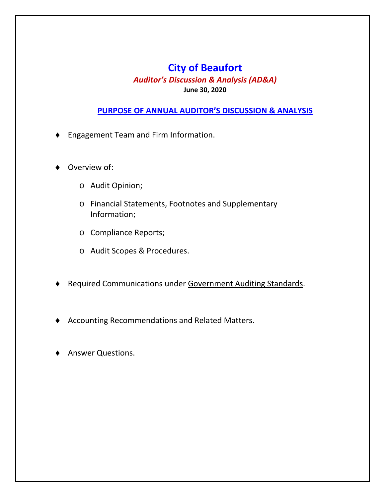### **City of Beaufort**

*Auditor's Discussion & Analysis (AD&A)* 

### **June 30, 2020**

#### **PURPOSE OF ANNUAL AUDITOR'S DISCUSSION & ANALYSIS**

- Engagement Team and Firm Information.
- Overview of:
	- o Audit Opinion;
	- o Financial Statements, Footnotes and Supplementary Information;
	- o Compliance Reports;
	- o Audit Scopes & Procedures.
- ◆ Required Communications under Government Auditing Standards.
- Accounting Recommendations and Related Matters.
- Answer Questions.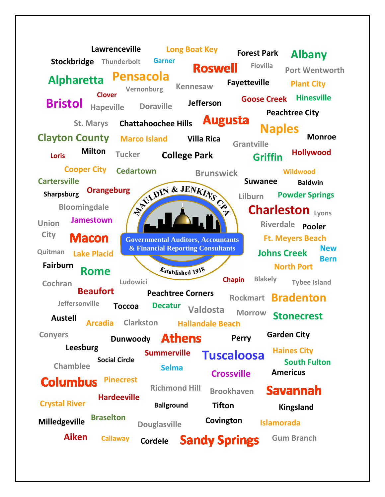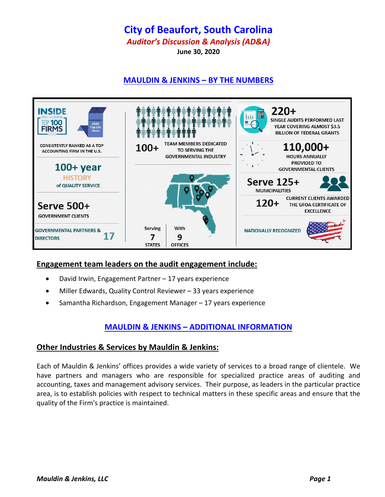### **City of Beaufort, South Carolina**

*Auditor's Discussion & Analysis (AD&A)* 

**June 30, 2020**

### **MAULDIN & JENKINS – BY THE NUMBERS**



#### **Engagement team leaders on the audit engagement include:**

- David Irwin, Engagement Partner 17 years experience
- Miller Edwards, Quality Control Reviewer 33 years experience
- Samantha Richardson, Engagement Manager 17 years experience

### **MAULDIN & JENKINS – ADDITIONAL INFORMATION**

#### **Other Industries & Services by Mauldin & Jenkins:**

Each of Mauldin & Jenkins' offices provides a wide variety of services to a broad range of clientele. We have partners and managers who are responsible for specialized practice areas of auditing and accounting, taxes and management advisory services. Their purpose, as leaders in the particular practice area, is to establish policies with respect to technical matters in these specific areas and ensure that the quality of the Firm's practice is maintained.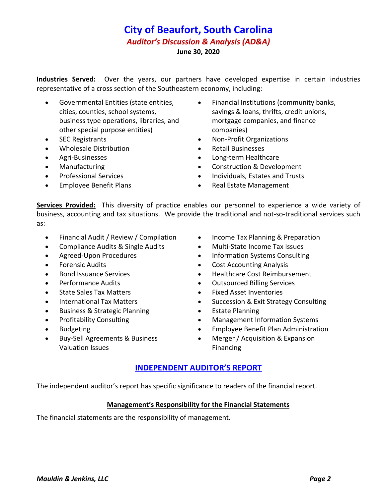**Industries Served:** Over the years, our partners have developed expertise in certain industries representative of a cross section of the Southeastern economy, including:

- Governmental Entities (state entities, cities, counties, school systems, business type operations, libraries, and other special purpose entities)
- SEC Registrants
- Wholesale Distribution
- Agri-Businesses
- Manufacturing
- Professional Services
- Employee Benefit Plans
- Financial Institutions (community banks, savings & loans, thrifts, credit unions, mortgage companies, and finance companies)
- Non‐Profit Organizations
- Retail Businesses
- Long‐term Healthcare
- Construction & Development
- Individuals, Estates and Trusts
- Real Estate Management

**Services Provided:** This diversity of practice enables our personnel to experience a wide variety of business, accounting and tax situations. We provide the traditional and not‐so‐traditional services such as:

- Financial Audit / Review / Compilation
- Compliance Audits & Single Audits
- Agreed-Upon Procedures
- Forensic Audits
- Bond Issuance Services
- Performance Audits
- State Sales Tax Matters
- International Tax Matters
- Business & Strategic Planning
- Profitability Consulting
- Budgeting
- Buy‐Sell Agreements & Business Valuation Issues
- Income Tax Planning & Preparation
- Multi‐State Income Tax Issues
- Information Systems Consulting
- Cost Accounting Analysis
- Healthcare Cost Reimbursement
- Outsourced Billing Services
- Fixed Asset Inventories
- Succession & Exit Strategy Consulting
- **•** Estate Planning
- Management Information Systems
- Employee Benefit Plan Administration
- Merger / Acquisition & Expansion Financing

#### **INDEPENDENT AUDITOR'S REPORT**

The independent auditor's report has specific significance to readers of the financial report.

#### **Management's Responsibility for the Financial Statements**

The financial statements are the responsibility of management.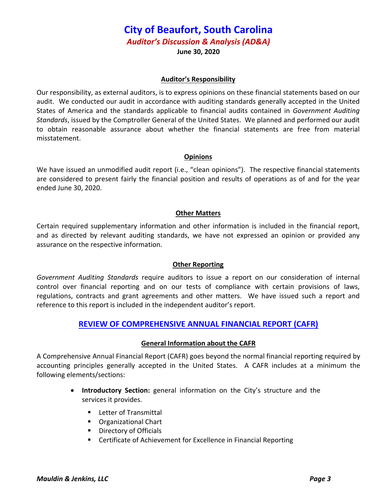## **City of Beaufort, South Carolina**

*Auditor's Discussion & Analysis (AD&A)* 

**June 30, 2020**

#### **Auditor's Responsibility**

Our responsibility, as external auditors, is to express opinions on these financial statements based on our audit. We conducted our audit in accordance with auditing standards generally accepted in the United States of America and the standards applicable to financial audits contained in *Government Auditing Standards*, issued by the Comptroller General of the United States. We planned and performed our audit to obtain reasonable assurance about whether the financial statements are free from material misstatement.

#### **Opinions**

We have issued an unmodified audit report (i.e., "clean opinions"). The respective financial statements are considered to present fairly the financial position and results of operations as of and for the year ended June 30, 2020.

#### **Other Matters**

Certain required supplementary information and other information is included in the financial report, and as directed by relevant auditing standards, we have not expressed an opinion or provided any assurance on the respective information.

#### **Other Reporting**

*Government Auditing Standards* require auditors to issue a report on our consideration of internal control over financial reporting and on our tests of compliance with certain provisions of laws, regulations, contracts and grant agreements and other matters. We have issued such a report and reference to this report is included in the independent auditor's report.

#### **REVIEW OF COMPREHENSIVE ANNUAL FINANCIAL REPORT (CAFR)**

#### **General Information about the CAFR**

A Comprehensive Annual Financial Report (CAFR) goes beyond the normal financial reporting required by accounting principles generally accepted in the United States. A CAFR includes at a minimum the following elements/sections:

- **Introductory Section:** general information on the City's structure and the services it provides.
	- Letter of Transmittal
	- Organizational Chart
	- **Directory of Officials**
	- Certificate of Achievement for Excellence in Financial Reporting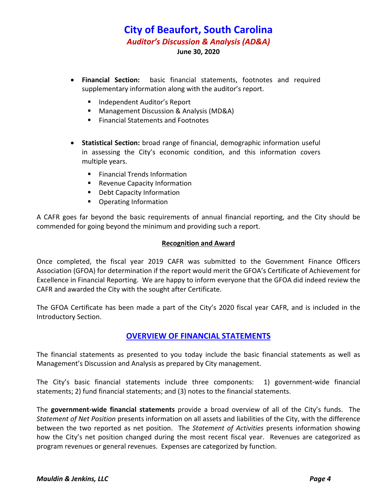- **Financial Section:** basic financial statements, footnotes and required supplementary information along with the auditor's report.
	- **Independent Auditor's Report**
	- Management Discussion & Analysis (MD&A)
	- Financial Statements and Footnotes
- **Statistical Section:** broad range of financial, demographic information useful in assessing the City's economic condition, and this information covers multiple years.
	- **Financial Trends Information**
	- **Revenue Capacity Information**
	- **•** Debt Capacity Information
	- Operating Information

A CAFR goes far beyond the basic requirements of annual financial reporting, and the City should be commended for going beyond the minimum and providing such a report.

#### **Recognition and Award**

Once completed, the fiscal year 2019 CAFR was submitted to the Government Finance Officers Association (GFOA) for determination if the report would merit the GFOA's Certificate of Achievement for Excellence in Financial Reporting. We are happy to inform everyone that the GFOA did indeed review the CAFR and awarded the City with the sought after Certificate.

The GFOA Certificate has been made a part of the City's 2020 fiscal year CAFR, and is included in the Introductory Section.

#### **OVERVIEW OF FINANCIAL STATEMENTS**

The financial statements as presented to you today include the basic financial statements as well as Management's Discussion and Analysis as prepared by City management.

The City's basic financial statements include three components: 1) government‐wide financial statements; 2) fund financial statements; and (3) notes to the financial statements.

The **government‐wide financial statements** provide a broad overview of all of the City's funds. The *Statement of Net Position* presents information on all assets and liabilities of the City, with the difference between the two reported as net position. The *Statement of Activities* presents information showing how the City's net position changed during the most recent fiscal year. Revenues are categorized as program revenues or general revenues. Expenses are categorized by function.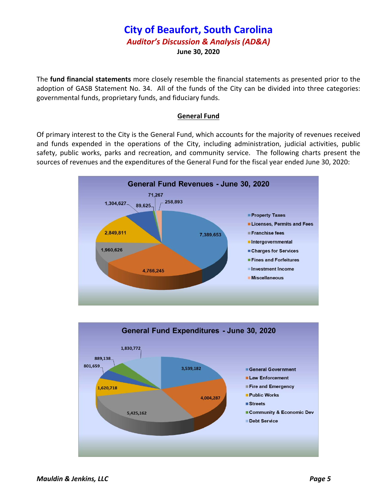The **fund financial statements** more closely resemble the financial statements as presented prior to the adoption of GASB Statement No. 34. All of the funds of the City can be divided into three categories: governmental funds, proprietary funds, and fiduciary funds.

#### **General Fund**

Of primary interest to the City is the General Fund, which accounts for the majority of revenues received and funds expended in the operations of the City, including administration, judicial activities, public safety, public works, parks and recreation, and community service. The following charts present the sources of revenues and the expenditures of the General Fund for the fiscal year ended June 30, 2020:



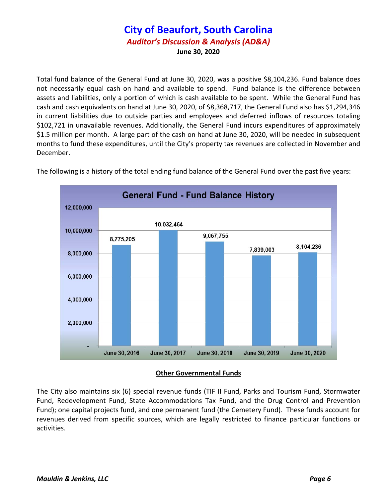Total fund balance of the General Fund at June 30, 2020, was a positive \$8,104,236. Fund balance does not necessarily equal cash on hand and available to spend. Fund balance is the difference between assets and liabilities, only a portion of which is cash available to be spent. While the General Fund has cash and cash equivalents on hand at June 30, 2020, of \$8,368,717, the General Fund also has \$1,294,346 in current liabilities due to outside parties and employees and deferred inflows of resources totaling \$102,721 in unavailable revenues. Additionally, the General Fund incurs expenditures of approximately \$1.5 million per month. A large part of the cash on hand at June 30, 2020, will be needed in subsequent months to fund these expenditures, until the City's property tax revenues are collected in November and December.



The following is a history of the total ending fund balance of the General Fund over the past five years:

#### **Other Governmental Funds**

The City also maintains six (6) special revenue funds (TIF II Fund, Parks and Tourism Fund, Stormwater Fund, Redevelopment Fund, State Accommodations Tax Fund, and the Drug Control and Prevention Fund); one capital projects fund, and one permanent fund (the Cemetery Fund). These funds account for revenues derived from specific sources, which are legally restricted to finance particular functions or activities.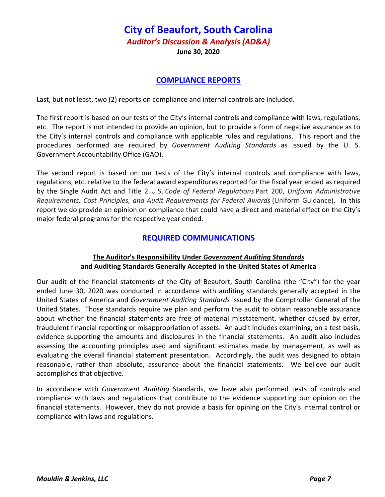#### **COMPLIANCE REPORTS**

Last, but not least, two (2) reports on compliance and internal controls are included.

The first report is based on our tests of the City's internal controls and compliance with laws, regulations, etc. The report is not intended to provide an opinion, but to provide a form of negative assurance as to the City's internal controls and compliance with applicable rules and regulations. This report and the procedures performed are required by *Government Auditing Standards* as issued by the U. S. Government Accountability Office (GAO).

The second report is based on our tests of the City's internal controls and compliance with laws, regulations, etc. relative to the federal award expenditures reported for the fiscal year ended as required by the Single Audit Act and Title 2 U.S. *Code of Federal Regulations* Part 200, *Uniform Administrative Requirements, Cost Principles, and Audit Requirements for Federal Awards* (Uniform Guidance). In this report we do provide an opinion on compliance that could have a direct and material effect on the City's major federal programs for the respective year ended.

#### **REQUIRED COMMUNICATIONS**

#### **The Auditor's Responsibility Under** *Government Auditing Standards* **and Auditing Standards Generally Accepted in the United States of America**

Our audit of the financial statements of the City of Beaufort, South Carolina (the "City") for the year ended June 30, 2020 was conducted in accordance with auditing standards generally accepted in the United States of America and *Government Auditing Standards* issued by the Comptroller General of the United States. Those standards require we plan and perform the audit to obtain reasonable assurance about whether the financial statements are free of material misstatement, whether caused by error, fraudulent financial reporting or misappropriation of assets. An audit includes examining, on a test basis, evidence supporting the amounts and disclosures in the financial statements. An audit also includes assessing the accounting principles used and significant estimates made by management, as well as evaluating the overall financial statement presentation. Accordingly, the audit was designed to obtain reasonable, rather than absolute, assurance about the financial statements. We believe our audit accomplishes that objective.

In accordance with *Government Auditing* Standards, we have also performed tests of controls and compliance with laws and regulations that contribute to the evidence supporting our opinion on the financial statements. However, they do not provide a basis for opining on the City's internal control or compliance with laws and regulations.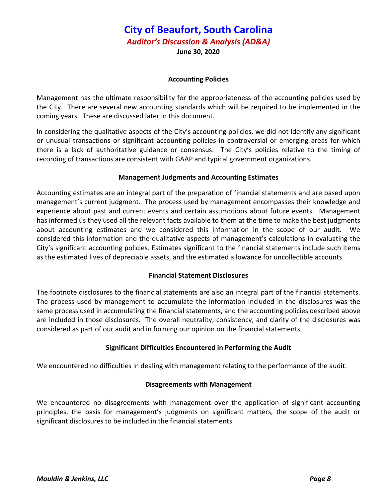**June 30, 2020**

#### **Accounting Policies**

Management has the ultimate responsibility for the appropriateness of the accounting policies used by the City. There are several new accounting standards which will be required to be implemented in the coming years. These are discussed later in this document.

In considering the qualitative aspects of the City's accounting policies, we did not identify any significant or unusual transactions or significant accounting policies in controversial or emerging areas for which there is a lack of authoritative guidance or consensus. The City's policies relative to the timing of recording of transactions are consistent with GAAP and typical government organizations.

#### **Management Judgments and Accounting Estimates**

Accounting estimates are an integral part of the preparation of financial statements and are based upon management's current judgment. The process used by management encompasses their knowledge and experience about past and current events and certain assumptions about future events. Management has informed us they used all the relevant facts available to them at the time to make the best judgments about accounting estimates and we considered this information in the scope of our audit. We considered this information and the qualitative aspects of management's calculations in evaluating the City's significant accounting policies. Estimates significant to the financial statements include such items as the estimated lives of depreciable assets, and the estimated allowance for uncollectible accounts.

#### **Financial Statement Disclosures**

The footnote disclosures to the financial statements are also an integral part of the financial statements. The process used by management to accumulate the information included in the disclosures was the same process used in accumulating the financial statements, and the accounting policies described above are included in those disclosures. The overall neutrality, consistency, and clarity of the disclosures was considered as part of our audit and in forming our opinion on the financial statements.

#### **Significant Difficulties Encountered in Performing the Audit**

We encountered no difficulties in dealing with management relating to the performance of the audit.

#### **Disagreements with Management**

We encountered no disagreements with management over the application of significant accounting principles, the basis for management's judgments on significant matters, the scope of the audit or significant disclosures to be included in the financial statements.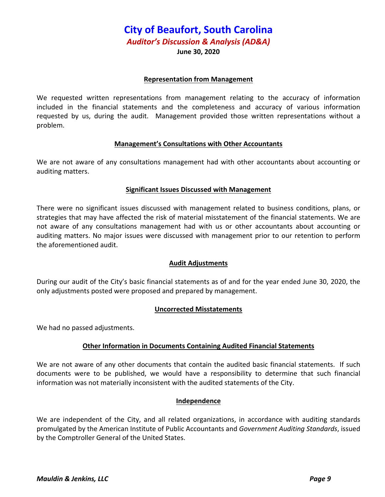**June 30, 2020**

#### **Representation from Management**

We requested written representations from management relating to the accuracy of information included in the financial statements and the completeness and accuracy of various information requested by us, during the audit. Management provided those written representations without a problem.

#### **Management's Consultations with Other Accountants**

We are not aware of any consultations management had with other accountants about accounting or auditing matters.

#### **Significant Issues Discussed with Management**

There were no significant issues discussed with management related to business conditions, plans, or strategies that may have affected the risk of material misstatement of the financial statements. We are not aware of any consultations management had with us or other accountants about accounting or auditing matters. No major issues were discussed with management prior to our retention to perform the aforementioned audit.

#### **Audit Adjustments**

During our audit of the City's basic financial statements as of and for the year ended June 30, 2020, the only adjustments posted were proposed and prepared by management.

#### **Uncorrected Misstatements**

We had no passed adjustments.

#### **Other Information in Documents Containing Audited Financial Statements**

We are not aware of any other documents that contain the audited basic financial statements. If such documents were to be published, we would have a responsibility to determine that such financial information was not materially inconsistent with the audited statements of the City.

#### **Independence**

We are independent of the City, and all related organizations, in accordance with auditing standards promulgated by the American Institute of Public Accountants and *Government Auditing Standards*, issued by the Comptroller General of the United States.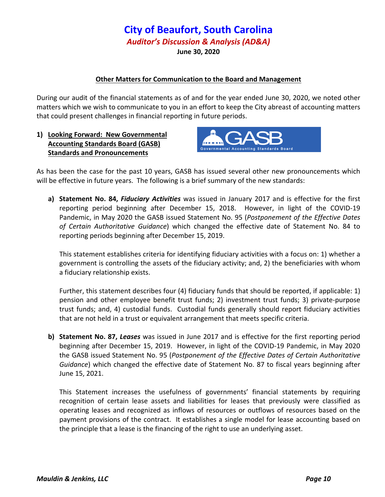#### **Other Matters for Communication to the Board and Management**

During our audit of the financial statements as of and for the year ended June 30, 2020, we noted other matters which we wish to communicate to you in an effort to keep the City abreast of accounting matters that could present challenges in financial reporting in future periods.

**1) Looking Forward: New Governmental Accounting Standards Board (GASB) Standards and Pronouncements**



As has been the case for the past 10 years, GASB has issued several other new pronouncements which will be effective in future years. The following is a brief summary of the new standards:

**a) Statement No. 84,** *Fiduciary Activities* was issued in January 2017 and is effective for the first reporting period beginning after December 15, 2018. However, in light of the COVID-19 Pandemic, in May 2020 the GASB issued Statement No. 95 (*Postponement of the Effective Dates of Certain Authoritative Guidance*) which changed the effective date of Statement No. 84 to reporting periods beginning after December 15, 2019.

This statement establishes criteria for identifying fiduciary activities with a focus on: 1) whether a government is controlling the assets of the fiduciary activity; and, 2) the beneficiaries with whom a fiduciary relationship exists.

Further, this statement describes four (4) fiduciary funds that should be reported, if applicable: 1) pension and other employee benefit trust funds; 2) investment trust funds; 3) private‐purpose trust funds; and, 4) custodial funds. Custodial funds generally should report fiduciary activities that are not held in a trust or equivalent arrangement that meets specific criteria.

**b) Statement No. 87,** *Leases* was issued in June 2017 and is effective for the first reporting period beginning after December 15, 2019. However, in light of the COVID‐19 Pandemic, in May 2020 the GASB issued Statement No. 95 (*Postponement of the Effective Dates of Certain Authoritative Guidance*) which changed the effective date of Statement No. 87 to fiscal years beginning after June 15, 2021.

This Statement increases the usefulness of governments' financial statements by requiring recognition of certain lease assets and liabilities for leases that previously were classified as operating leases and recognized as inflows of resources or outflows of resources based on the payment provisions of the contract. It establishes a single model for lease accounting based on the principle that a lease is the financing of the right to use an underlying asset.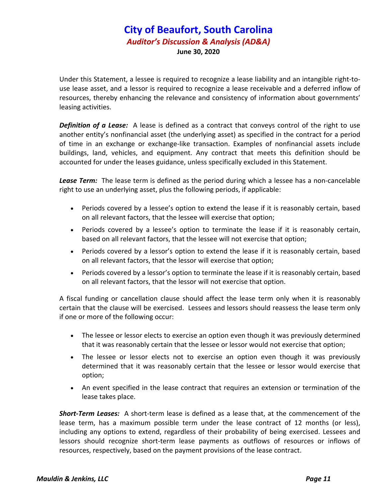Under this Statement, a lessee is required to recognize a lease liability and an intangible right‐to‐ use lease asset, and a lessor is required to recognize a lease receivable and a deferred inflow of resources, thereby enhancing the relevance and consistency of information about governments' leasing activities.

*Definition of a Lease:* A lease is defined as a contract that conveys control of the right to use another entity's nonfinancial asset (the underlying asset) as specified in the contract for a period of time in an exchange or exchange‐like transaction. Examples of nonfinancial assets include buildings, land, vehicles, and equipment. Any contract that meets this definition should be accounted for under the leases guidance, unless specifically excluded in this Statement.

*Lease Term:* The lease term is defined as the period during which a lessee has a non‐cancelable right to use an underlying asset, plus the following periods, if applicable:

- Periods covered by a lessee's option to extend the lease if it is reasonably certain, based on all relevant factors, that the lessee will exercise that option;
- Periods covered by a lessee's option to terminate the lease if it is reasonably certain, based on all relevant factors, that the lessee will not exercise that option;
- Periods covered by a lessor's option to extend the lease if it is reasonably certain, based on all relevant factors, that the lessor will exercise that option;
- Periods covered by a lessor's option to terminate the lease if it is reasonably certain, based on all relevant factors, that the lessor will not exercise that option.

A fiscal funding or cancellation clause should affect the lease term only when it is reasonably certain that the clause will be exercised. Lessees and lessors should reassess the lease term only if one or more of the following occur:

- The lessee or lessor elects to exercise an option even though it was previously determined that it was reasonably certain that the lessee or lessor would not exercise that option;
- The lessee or lessor elects not to exercise an option even though it was previously determined that it was reasonably certain that the lessee or lessor would exercise that option;
- An event specified in the lease contract that requires an extension or termination of the lease takes place.

*Short‐Term Leases:* A short‐term lease is defined as a lease that, at the commencement of the lease term, has a maximum possible term under the lease contract of 12 months (or less), including any options to extend, regardless of their probability of being exercised. Lessees and lessors should recognize short-term lease payments as outflows of resources or inflows of resources, respectively, based on the payment provisions of the lease contract.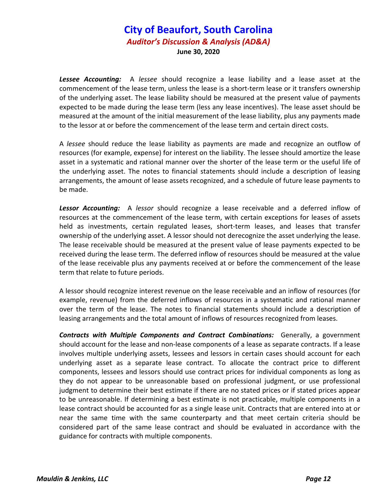Lessee Accounting: A lessee should recognize a lease liability and a lease asset at the commencement of the lease term, unless the lease is a short-term lease or it transfers ownership of the underlying asset. The lease liability should be measured at the present value of payments expected to be made during the lease term (less any lease incentives). The lease asset should be measured at the amount of the initial measurement of the lease liability, plus any payments made to the lessor at or before the commencement of the lease term and certain direct costs.

A *lessee* should reduce the lease liability as payments are made and recognize an outflow of resources (for example, expense) for interest on the liability. The lessee should amortize the lease asset in a systematic and rational manner over the shorter of the lease term or the useful life of the underlying asset. The notes to financial statements should include a description of leasing arrangements, the amount of lease assets recognized, and a schedule of future lease payments to be made.

**Lessor Accounting:** A lessor should recognize a lease receivable and a deferred inflow of resources at the commencement of the lease term, with certain exceptions for leases of assets held as investments, certain regulated leases, short-term leases, and leases that transfer ownership of the underlying asset. A lessor should not derecognize the asset underlying the lease. The lease receivable should be measured at the present value of lease payments expected to be received during the lease term. The deferred inflow of resources should be measured at the value of the lease receivable plus any payments received at or before the commencement of the lease term that relate to future periods.

A lessor should recognize interest revenue on the lease receivable and an inflow of resources (for example, revenue) from the deferred inflows of resources in a systematic and rational manner over the term of the lease. The notes to financial statements should include a description of leasing arrangements and the total amount of inflows of resources recognized from leases.

*Contracts with Multiple Components and Contract Combinations:*  Generally, a government should account for the lease and non‐lease components of a lease as separate contracts. If a lease involves multiple underlying assets, lessees and lessors in certain cases should account for each underlying asset as a separate lease contract. To allocate the contract price to different components, lessees and lessors should use contract prices for individual components as long as they do not appear to be unreasonable based on professional judgment, or use professional judgment to determine their best estimate if there are no stated prices or if stated prices appear to be unreasonable. If determining a best estimate is not practicable, multiple components in a lease contract should be accounted for as a single lease unit. Contracts that are entered into at or near the same time with the same counterparty and that meet certain criteria should be considered part of the same lease contract and should be evaluated in accordance with the guidance for contracts with multiple components.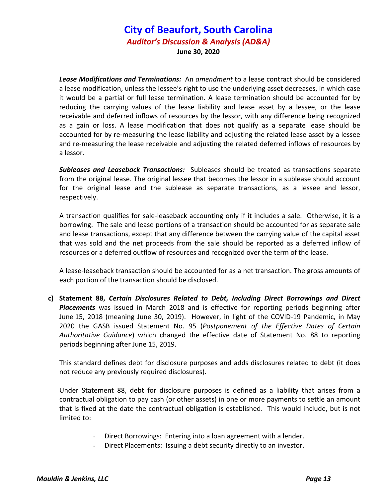*Lease Modifications and Terminations:* An *amendment* to a lease contract should be considered a lease modification, unless the lessee's right to use the underlying asset decreases, in which case it would be a partial or full lease termination. A lease termination should be accounted for by reducing the carrying values of the lease liability and lease asset by a lessee, or the lease receivable and deferred inflows of resources by the lessor, with any difference being recognized as a gain or loss. A lease modification that does not qualify as a separate lease should be accounted for by re-measuring the lease liability and adjusting the related lease asset by a lessee and re‐measuring the lease receivable and adjusting the related deferred inflows of resources by a lessor.

*Subleases and Leaseback Transactions:* Subleases should be treated as transactions separate from the original lease. The original lessee that becomes the lessor in a sublease should account for the original lease and the sublease as separate transactions, as a lessee and lessor, respectively.

A transaction qualifies for sale‐leaseback accounting only if it includes a sale. Otherwise, it is a borrowing. The sale and lease portions of a transaction should be accounted for as separate sale and lease transactions, except that any difference between the carrying value of the capital asset that was sold and the net proceeds from the sale should be reported as a deferred inflow of resources or a deferred outflow of resources and recognized over the term of the lease.

A lease‐leaseback transaction should be accounted for as a net transaction. The gross amounts of each portion of the transaction should be disclosed.

**c) Statement 88,** *Certain Disclosures Related to Debt, Including Direct Borrowings and Direct Placements* was issued in March 2018 and is effective for reporting periods beginning after June 15, 2018 (meaning June 30, 2019). However, in light of the COVID‐19 Pandemic, in May 2020 the GASB issued Statement No. 95 (*Postponement of the Effective Dates of Certain Authoritative Guidance*) which changed the effective date of Statement No. 88 to reporting periods beginning after June 15, 2019.

This standard defines debt for disclosure purposes and adds disclosures related to debt (it does not reduce any previously required disclosures).

Under Statement 88, debt for disclosure purposes is defined as a liability that arises from a contractual obligation to pay cash (or other assets) in one or more payments to settle an amount that is fixed at the date the contractual obligation is established. This would include, but is not limited to:

- Direct Borrowings: Entering into a loan agreement with a lender.
- Direct Placements: Issuing a debt security directly to an investor.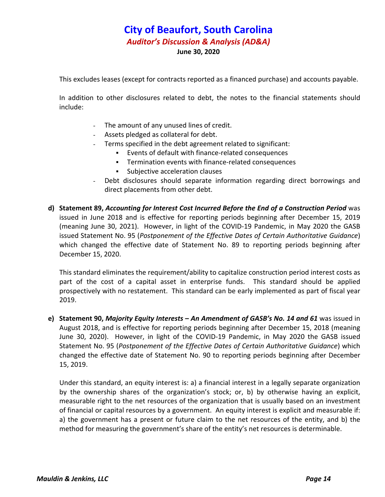This excludes leases (except for contracts reported as a financed purchase) and accounts payable.

In addition to other disclosures related to debt, the notes to the financial statements should include:

- The amount of any unused lines of credit.
- Assets pledged as collateral for debt.
- Terms specified in the debt agreement related to significant:
	- Events of default with finance‐related consequences
	- Termination events with finance‐related consequences
	- **Subjective acceleration clauses**
- Debt disclosures should separate information regarding direct borrowings and direct placements from other debt.
- **d) Statement 89,** *Accounting for Interest Cost Incurred Before the End of a Construction Period* was issued in June 2018 and is effective for reporting periods beginning after December 15, 2019 (meaning June 30, 2021). However, in light of the COVID‐19 Pandemic, in May 2020 the GASB issued Statement No. 95 (*Postponement of the Effective Dates of Certain Authoritative Guidance*) which changed the effective date of Statement No. 89 to reporting periods beginning after December 15, 2020.

This standard eliminates the requirement/ability to capitalize construction period interest costs as part of the cost of a capital asset in enterprise funds. This standard should be applied prospectively with no restatement. This standard can be early implemented as part of fiscal year 2019.

**e) Statement 90,** *Majority Equity Interests – An Amendment of GASB's No. 14 and 61* was issued in August 2018, and is effective for reporting periods beginning after December 15, 2018 (meaning June 30, 2020). However, in light of the COVID-19 Pandemic, in May 2020 the GASB issued Statement No. 95 (*Postponement of the Effective Dates of Certain Authoritative Guidance*) which changed the effective date of Statement No. 90 to reporting periods beginning after December 15, 2019.

Under this standard, an equity interest is: a) a financial interest in a legally separate organization by the ownership shares of the organization's stock; or, b) by otherwise having an explicit, measurable right to the net resources of the organization that is usually based on an investment of financial or capital resources by a government. An equity interest is explicit and measurable if: a) the government has a present or future claim to the net resources of the entity, and b) the method for measuring the government's share of the entity's net resources is determinable.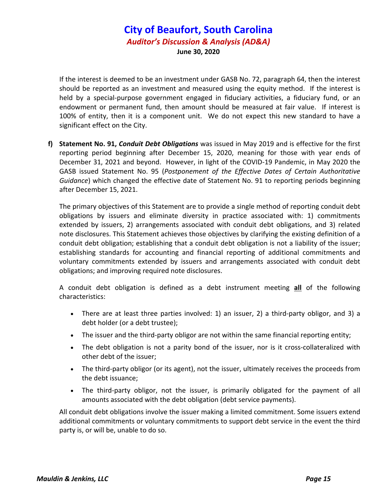If the interest is deemed to be an investment under GASB No. 72, paragraph 64, then the interest should be reported as an investment and measured using the equity method. If the interest is held by a special-purpose government engaged in fiduciary activities, a fiduciary fund, or an endowment or permanent fund, then amount should be measured at fair value. If interest is 100% of entity, then it is a component unit. We do not expect this new standard to have a significant effect on the City.

**f) Statement No. 91,** *Conduit Debt Obligations* was issued in May 2019 and is effective for the first reporting period beginning after December 15, 2020, meaning for those with year ends of December 31, 2021 and beyond. However, in light of the COVID‐19 Pandemic, in May 2020 the GASB issued Statement No. 95 (*Postponement of the Effective Dates of Certain Authoritative Guidance*) which changed the effective date of Statement No. 91 to reporting periods beginning after December 15, 2021.

The primary objectives of this Statement are to provide a single method of reporting conduit debt obligations by issuers and eliminate diversity in practice associated with: 1) commitments extended by issuers, 2) arrangements associated with conduit debt obligations, and 3) related note disclosures. This Statement achieves those objectives by clarifying the existing definition of a conduit debt obligation; establishing that a conduit debt obligation is not a liability of the issuer; establishing standards for accounting and financial reporting of additional commitments and voluntary commitments extended by issuers and arrangements associated with conduit debt obligations; and improving required note disclosures.

A conduit debt obligation is defined as a debt instrument meeting **all** of the following characteristics:

- There are at least three parties involved: 1) an issuer, 2) a third-party obligor, and 3) a debt holder (or a debt trustee);
- The issuer and the third-party obligor are not within the same financial reporting entity;
- The debt obligation is not a parity bond of the issuer, nor is it cross-collateralized with other debt of the issuer;
- The third-party obligor (or its agent), not the issuer, ultimately receives the proceeds from the debt issuance;
- The third-party obligor, not the issuer, is primarily obligated for the payment of all amounts associated with the debt obligation (debt service payments).

All conduit debt obligations involve the issuer making a limited commitment. Some issuers extend additional commitments or voluntary commitments to support debt service in the event the third party is, or will be, unable to do so.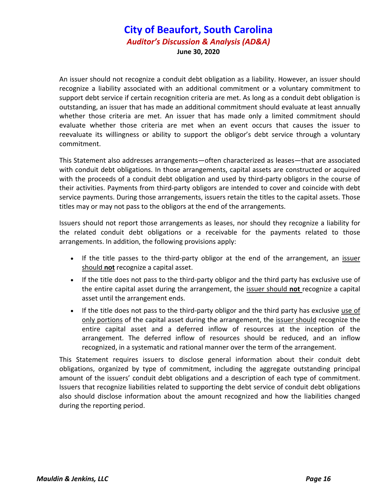An issuer should not recognize a conduit debt obligation as a liability. However, an issuer should recognize a liability associated with an additional commitment or a voluntary commitment to support debt service if certain recognition criteria are met. As long as a conduit debt obligation is outstanding, an issuer that has made an additional commitment should evaluate at least annually whether those criteria are met. An issuer that has made only a limited commitment should evaluate whether those criteria are met when an event occurs that causes the issuer to reevaluate its willingness or ability to support the obligor's debt service through a voluntary commitment.

This Statement also addresses arrangements—often characterized as leases—that are associated with conduit debt obligations. In those arrangements, capital assets are constructed or acquired with the proceeds of a conduit debt obligation and used by third-party obligors in the course of their activities. Payments from third‐party obligors are intended to cover and coincide with debt service payments. During those arrangements, issuers retain the titles to the capital assets. Those titles may or may not pass to the obligors at the end of the arrangements.

Issuers should not report those arrangements as leases, nor should they recognize a liability for the related conduit debt obligations or a receivable for the payments related to those arrangements. In addition, the following provisions apply:

- If the title passes to the third-party obligor at the end of the arrangement, an issuer should **not** recognize a capital asset.
- If the title does not pass to the third-party obligor and the third party has exclusive use of the entire capital asset during the arrangement, the issuer should **not** recognize a capital asset until the arrangement ends.
- If the title does not pass to the third-party obligor and the third party has exclusive use of only portions of the capital asset during the arrangement, the issuer should recognize the entire capital asset and a deferred inflow of resources at the inception of the arrangement. The deferred inflow of resources should be reduced, and an inflow recognized, in a systematic and rational manner over the term of the arrangement.

This Statement requires issuers to disclose general information about their conduit debt obligations, organized by type of commitment, including the aggregate outstanding principal amount of the issuers' conduit debt obligations and a description of each type of commitment. Issuers that recognize liabilities related to supporting the debt service of conduit debt obligations also should disclose information about the amount recognized and how the liabilities changed during the reporting period.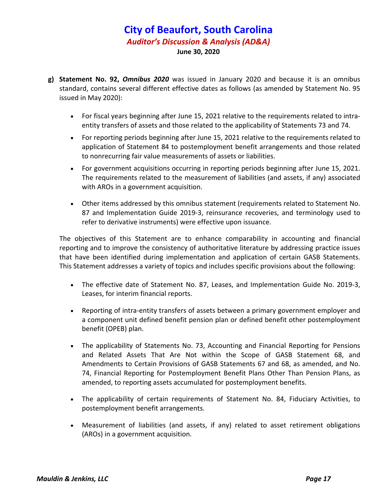- **g) Statement No. 92,** *Omnibus 2020* was issued in January 2020 and because it is an omnibus standard, contains several different effective dates as follows (as amended by Statement No. 95 issued in May 2020):
	- For fiscal years beginning after June 15, 2021 relative to the requirements related to intraentity transfers of assets and those related to the applicability of Statements 73 and 74.
	- For reporting periods beginning after June 15, 2021 relative to the requirements related to application of Statement 84 to postemployment benefit arrangements and those related to nonrecurring fair value measurements of assets or liabilities.
	- For government acquisitions occurring in reporting periods beginning after June 15, 2021. The requirements related to the measurement of liabilities (and assets, if any) associated with AROs in a government acquisition.
	- Other items addressed by this omnibus statement (requirements related to Statement No. 87 and Implementation Guide 2019‐3, reinsurance recoveries, and terminology used to refer to derivative instruments) were effective upon issuance.

The objectives of this Statement are to enhance comparability in accounting and financial reporting and to improve the consistency of authoritative literature by addressing practice issues that have been identified during implementation and application of certain GASB Statements. This Statement addresses a variety of topics and includes specific provisions about the following:

- The effective date of Statement No. 87, Leases, and Implementation Guide No. 2019-3, Leases, for interim financial reports.
- Reporting of intra‐entity transfers of assets between a primary government employer and a component unit defined benefit pension plan or defined benefit other postemployment benefit (OPEB) plan.
- The applicability of Statements No. 73, Accounting and Financial Reporting for Pensions and Related Assets That Are Not within the Scope of GASB Statement 68, and Amendments to Certain Provisions of GASB Statements 67 and 68, as amended, and No. 74, Financial Reporting for Postemployment Benefit Plans Other Than Pension Plans, as amended, to reporting assets accumulated for postemployment benefits.
- The applicability of certain requirements of Statement No. 84, Fiduciary Activities, to postemployment benefit arrangements.
- Measurement of liabilities (and assets, if any) related to asset retirement obligations (AROs) in a government acquisition.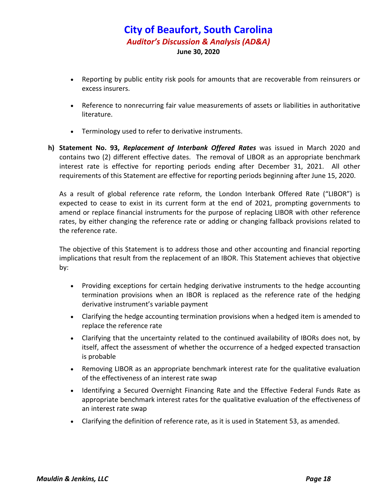- Reporting by public entity risk pools for amounts that are recoverable from reinsurers or excess insurers.
- Reference to nonrecurring fair value measurements of assets or liabilities in authoritative literature.
- Terminology used to refer to derivative instruments.
- **h) Statement No. 93,** *Replacement of Interbank Offered Rates* was issued in March 2020 and contains two (2) different effective dates. The removal of LIBOR as an appropriate benchmark interest rate is effective for reporting periods ending after December 31, 2021. All other requirements of this Statement are effective for reporting periods beginning after June 15, 2020.

As a result of global reference rate reform, the London Interbank Offered Rate ("LIBOR") is expected to cease to exist in its current form at the end of 2021, prompting governments to amend or replace financial instruments for the purpose of replacing LIBOR with other reference rates, by either changing the reference rate or adding or changing fallback provisions related to the reference rate.

The objective of this Statement is to address those and other accounting and financial reporting implications that result from the replacement of an IBOR. This Statement achieves that objective by:

- Providing exceptions for certain hedging derivative instruments to the hedge accounting termination provisions when an IBOR is replaced as the reference rate of the hedging derivative instrument's variable payment
- Clarifying the hedge accounting termination provisions when a hedged item is amended to replace the reference rate
- Clarifying that the uncertainty related to the continued availability of IBORs does not, by itself, affect the assessment of whether the occurrence of a hedged expected transaction is probable
- Removing LIBOR as an appropriate benchmark interest rate for the qualitative evaluation of the effectiveness of an interest rate swap
- Identifying a Secured Overnight Financing Rate and the Effective Federal Funds Rate as appropriate benchmark interest rates for the qualitative evaluation of the effectiveness of an interest rate swap
- Clarifying the definition of reference rate, as it is used in Statement 53, as amended.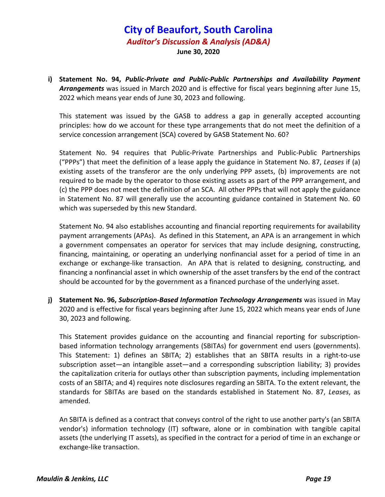**i) Statement No. 94,** *Public‐Private and Public‐Public Partnerships and Availability Payment Arrangements* was issued in March 2020 and is effective for fiscal years beginning after June 15, 2022 which means year ends of June 30, 2023 and following.

This statement was issued by the GASB to address a gap in generally accepted accounting principles: how do we account for these type arrangements that do not meet the definition of a service concession arrangement (SCA) covered by GASB Statement No. 60?

Statement No. 94 requires that Public‐Private Partnerships and Public‐Public Partnerships ("PPPs") that meet the definition of a lease apply the guidance in Statement No. 87, *Leases* if (a) existing assets of the transferor are the only underlying PPP assets, (b) improvements are not required to be made by the operator to those existing assets as part of the PPP arrangement, and (c) the PPP does not meet the definition of an SCA. All other PPPs that will not apply the guidance in Statement No. 87 will generally use the accounting guidance contained in Statement No. 60 which was superseded by this new Standard.

Statement No. 94 also establishes accounting and financial reporting requirements for availability payment arrangements (APAs). As defined in this Statement, an APA is an arrangement in which a government compensates an operator for services that may include designing, constructing, financing, maintaining, or operating an underlying nonfinancial asset for a period of time in an exchange or exchange-like transaction. An APA that is related to designing, constructing, and financing a nonfinancial asset in which ownership of the asset transfers by the end of the contract should be accounted for by the government as a financed purchase of the underlying asset.

**j) Statement No. 96,** *Subscription‐Based Information Technology Arrangements* was issued in May 2020 and is effective for fiscal years beginning after June 15, 2022 which means year ends of June 30, 2023 and following.

This Statement provides guidance on the accounting and financial reporting for subscription‐ based information technology arrangements (SBITAs) for government end users (governments). This Statement: 1) defines an SBITA; 2) establishes that an SBITA results in a right‐to‐use subscription asset—an intangible asset—and a corresponding subscription liability; 3) provides the capitalization criteria for outlays other than subscription payments, including implementation costs of an SBITA; and 4) requires note disclosures regarding an SBITA. To the extent relevant, the standards for SBITAs are based on the standards established in Statement No. 87, *Leases*, as amended.

An SBITA is defined as a contract that conveys control of the right to use another party's (an SBITA vendor's) information technology (IT) software, alone or in combination with tangible capital assets (the underlying IT assets), as specified in the contract for a period of time in an exchange or exchange‐like transaction.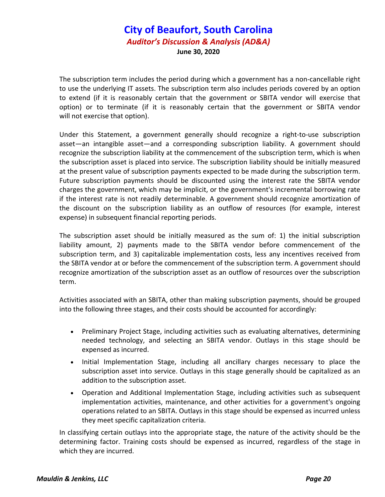The subscription term includes the period during which a government has a non-cancellable right to use the underlying IT assets. The subscription term also includes periods covered by an option to extend (if it is reasonably certain that the government or SBITA vendor will exercise that option) or to terminate (if it is reasonably certain that the government or SBITA vendor will not exercise that option).

Under this Statement, a government generally should recognize a right‐to‐use subscription asset—an intangible asset—and a corresponding subscription liability. A government should recognize the subscription liability at the commencement of the subscription term, which is when the subscription asset is placed into service. The subscription liability should be initially measured at the present value of subscription payments expected to be made during the subscription term. Future subscription payments should be discounted using the interest rate the SBITA vendor charges the government, which may be implicit, or the government's incremental borrowing rate if the interest rate is not readily determinable. A government should recognize amortization of the discount on the subscription liability as an outflow of resources (for example, interest expense) in subsequent financial reporting periods.

The subscription asset should be initially measured as the sum of: 1) the initial subscription liability amount, 2) payments made to the SBITA vendor before commencement of the subscription term, and 3) capitalizable implementation costs, less any incentives received from the SBITA vendor at or before the commencement of the subscription term. A government should recognize amortization of the subscription asset as an outflow of resources over the subscription term.

Activities associated with an SBITA, other than making subscription payments, should be grouped into the following three stages, and their costs should be accounted for accordingly:

- Preliminary Project Stage, including activities such as evaluating alternatives, determining needed technology, and selecting an SBITA vendor. Outlays in this stage should be expensed as incurred.
- Initial Implementation Stage, including all ancillary charges necessary to place the subscription asset into service. Outlays in this stage generally should be capitalized as an addition to the subscription asset.
- Operation and Additional Implementation Stage, including activities such as subsequent implementation activities, maintenance, and other activities for a government's ongoing operations related to an SBITA. Outlays in this stage should be expensed as incurred unless they meet specific capitalization criteria.

In classifying certain outlays into the appropriate stage, the nature of the activity should be the determining factor. Training costs should be expensed as incurred, regardless of the stage in which they are incurred.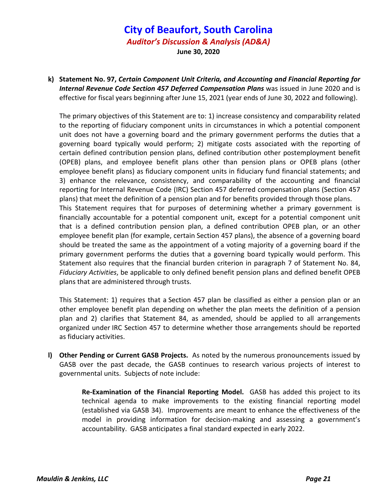**k) Statement No. 97,** *Certain Component Unit Criteria, and Accounting and Financial Reporting for Internal Revenue Code Section 457 Deferred Compensation Plans* was issued in June 2020 and is effective for fiscal years beginning after June 15, 2021 (year ends of June 30, 2022 and following).

The primary objectives of this Statement are to: 1) increase consistency and comparability related to the reporting of fiduciary component units in circumstances in which a potential component unit does not have a governing board and the primary government performs the duties that a governing board typically would perform; 2) mitigate costs associated with the reporting of certain defined contribution pension plans, defined contribution other postemployment benefit (OPEB) plans, and employee benefit plans other than pension plans or OPEB plans (other employee benefit plans) as fiduciary component units in fiduciary fund financial statements; and 3) enhance the relevance, consistency, and comparability of the accounting and financial reporting for Internal Revenue Code (IRC) Section 457 deferred compensation plans (Section 457 plans) that meet the definition of a pension plan and for benefits provided through those plans. This Statement requires that for purposes of determining whether a primary government is financially accountable for a potential component unit, except for a potential component unit that is a defined contribution pension plan, a defined contribution OPEB plan, or an other employee benefit plan (for example, certain Section 457 plans), the absence of a governing board should be treated the same as the appointment of a voting majority of a governing board if the primary government performs the duties that a governing board typically would perform. This Statement also requires that the financial burden criterion in paragraph 7 of Statement No. 84, *Fiduciary Activities*, be applicable to only defined benefit pension plans and defined benefit OPEB plans that are administered through trusts.

This Statement: 1) requires that a Section 457 plan be classified as either a pension plan or an other employee benefit plan depending on whether the plan meets the definition of a pension plan and 2) clarifies that Statement 84, as amended, should be applied to all arrangements organized under IRC Section 457 to determine whether those arrangements should be reported as fiduciary activities.

**l) Other Pending or Current GASB Projects.** As noted by the numerous pronouncements issued by GASB over the past decade, the GASB continues to research various projects of interest to governmental units. Subjects of note include:

> **Re‐Examination of the Financial Reporting Model.** GASB has added this project to its technical agenda to make improvements to the existing financial reporting model (established via GASB 34). Improvements are meant to enhance the effectiveness of the model in providing information for decision-making and assessing a government's accountability. GASB anticipates a final standard expected in early 2022.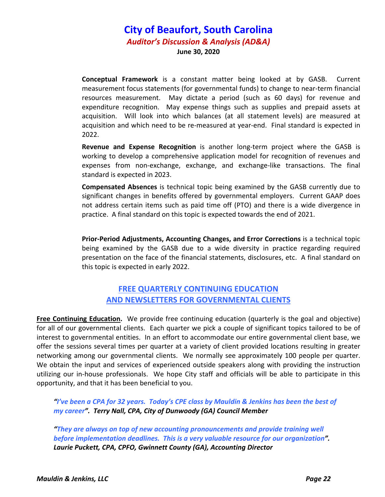**Conceptual Framework** is a constant matter being looked at by GASB. Current measurement focus statements (for governmental funds) to change to near‐term financial resources measurement. May dictate a period (such as 60 days) for revenue and expenditure recognition. May expense things such as supplies and prepaid assets at acquisition. Will look into which balances (at all statement levels) are measured at acquisition and which need to be re‐measured at year‐end. Final standard is expected in 2022.

**Revenue and Expense Recognition** is another long‐term project where the GASB is working to develop a comprehensive application model for recognition of revenues and expenses from non-exchange, exchange, and exchange-like transactions. The final standard is expected in 2023.

**Compensated Absences** is technical topic being examined by the GASB currently due to significant changes in benefits offered by governmental employers. Current GAAP does not address certain items such as paid time off (PTO) and there is a wide divergence in practice. A final standard on this topic is expected towards the end of 2021.

**Prior‐Period Adjustments, Accounting Changes, and Error Corrections** is a technical topic being examined by the GASB due to a wide diversity in practice regarding required presentation on the face of the financial statements, disclosures, etc. A final standard on this topic is expected in early 2022.

### **FREE QUARTERLY CONTINUING EDUCATION AND NEWSLETTERS FOR GOVERNMENTAL CLIENTS**

**Free Continuing Education.** We provide free continuing education (quarterly is the goal and objective) for all of our governmental clients. Each quarter we pick a couple of significant topics tailored to be of interest to governmental entities. In an effort to accommodate our entire governmental client base, we offer the sessions several times per quarter at a variety of client provided locations resulting in greater networking among our governmental clients. We normally see approximately 100 people per quarter. We obtain the input and services of experienced outside speakers along with providing the instruction utilizing our in‐house professionals. We hope City staff and officials will be able to participate in this opportunity, and that it has been beneficial to you.

"I've been a CPA for 32 years. Today's CPE class by Mauldin & Jenkins has been the best of *my career". Terry Nall, CPA, City of Dunwoody (GA) Council Member*

*"They are always on top of new accounting pronouncements and provide training well before implementation deadlines. This is a very valuable resource for our organization". Laurie Puckett, CPA, CPFO, Gwinnett County (GA), Accounting Director*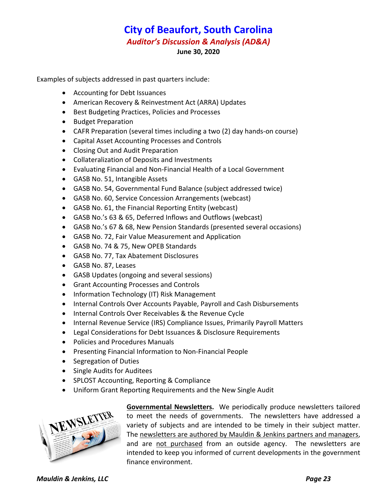Examples of subjects addressed in past quarters include:

- Accounting for Debt Issuances
- American Recovery & Reinvestment Act (ARRA) Updates
- Best Budgeting Practices, Policies and Processes
- Budget Preparation
- CAFR Preparation (several times including a two (2) day hands‐on course)
- Capital Asset Accounting Processes and Controls
- Closing Out and Audit Preparation
- Collateralization of Deposits and Investments
- Evaluating Financial and Non‐Financial Health of a Local Government
- GASB No. 51, Intangible Assets
- GASB No. 54, Governmental Fund Balance (subject addressed twice)
- GASB No. 60, Service Concession Arrangements (webcast)
- GASB No. 61, the Financial Reporting Entity (webcast)
- GASB No.'s 63 & 65, Deferred Inflows and Outflows (webcast)
- GASB No.'s 67 & 68, New Pension Standards (presented several occasions)
- GASB No. 72, Fair Value Measurement and Application
- GASB No. 74 & 75, New OPEB Standards
- GASB No. 77, Tax Abatement Disclosures
- GASB No. 87, Leases
- GASB Updates (ongoing and several sessions)
- Grant Accounting Processes and Controls
- Information Technology (IT) Risk Management
- Internal Controls Over Accounts Payable, Payroll and Cash Disbursements
- Internal Controls Over Receivables & the Revenue Cycle
- Internal Revenue Service (IRS) Compliance Issues, Primarily Payroll Matters
- Legal Considerations for Debt Issuances & Disclosure Requirements
- Policies and Procedures Manuals
- Presenting Financial Information to Non-Financial People
- Segregation of Duties
- Single Audits for Auditees
- SPLOST Accounting, Reporting & Compliance
- Uniform Grant Reporting Requirements and the New Single Audit



**Governmental Newsletters.** We periodically produce newsletters tailored to meet the needs of governments. The newsletters have addressed a variety of subjects and are intended to be timely in their subject matter. The newsletters are authored by Mauldin & Jenkins partners and managers, and are not purchased from an outside agency. The newsletters are intended to keep you informed of current developments in the government finance environment.

*Mauldin & Jenkins, LLC Page 23*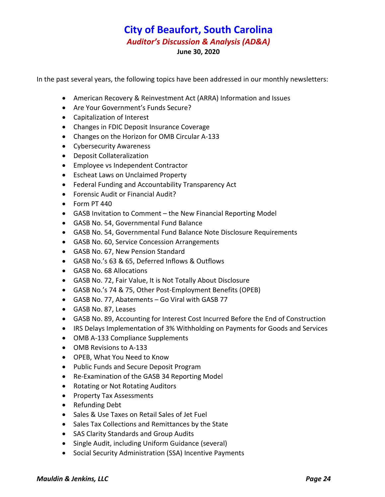In the past several years, the following topics have been addressed in our monthly newsletters:

- American Recovery & Reinvestment Act (ARRA) Information and Issues
- Are Your Government's Funds Secure?
- Capitalization of Interest
- Changes in FDIC Deposit Insurance Coverage
- Changes on the Horizon for OMB Circular A‐133
- Cybersecurity Awareness
- Deposit Collateralization
- Employee vs Independent Contractor
- Escheat Laws on Unclaimed Property
- Federal Funding and Accountability Transparency Act
- Forensic Audit or Financial Audit?
- Form PT 440
- GASB Invitation to Comment the New Financial Reporting Model
- GASB No. 54, Governmental Fund Balance
- GASB No. 54, Governmental Fund Balance Note Disclosure Requirements
- GASB No. 60, Service Concession Arrangements
- GASB No. 67, New Pension Standard
- GASB No.'s 63 & 65, Deferred Inflows & Outflows
- GASB No. 68 Allocations
- GASB No. 72, Fair Value, It is Not Totally About Disclosure
- GASB No.'s 74 & 75, Other Post‐Employment Benefits (OPEB)
- GASB No. 77, Abatements Go Viral with GASB 77
- GASB No. 87, Leases
- GASB No. 89, Accounting for Interest Cost Incurred Before the End of Construction
- IRS Delays Implementation of 3% Withholding on Payments for Goods and Services
- OMB A-133 Compliance Supplements
- OMB Revisions to A-133
- OPEB, What You Need to Know
- Public Funds and Secure Deposit Program
- Re-Examination of the GASB 34 Reporting Model
- Rotating or Not Rotating Auditors
- Property Tax Assessments
- Refunding Debt
- Sales & Use Taxes on Retail Sales of Jet Fuel
- Sales Tax Collections and Remittances by the State
- SAS Clarity Standards and Group Audits
- Single Audit, including Uniform Guidance (several)
- Social Security Administration (SSA) Incentive Payments